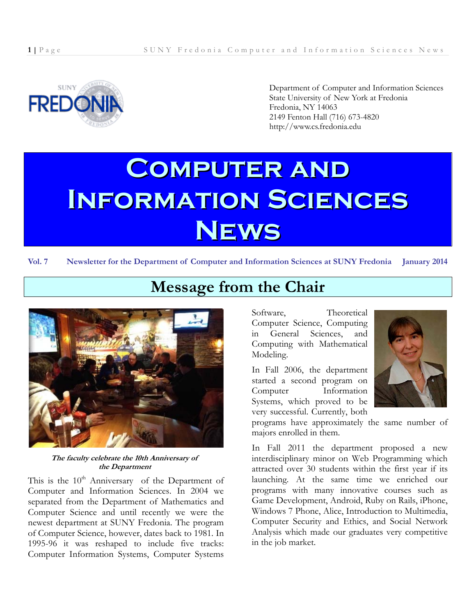

Department of Computer and Information Sciences State University of New York at Fredonia Fredonia, NY 14063 2149 Fenton Hall (716) 673-4820 http://www.cs.fredonia.edu

# **Computer and Information Sciences News**

**Vol. 7 Newsletter for the Department of Computer and Information Sciences at SUNY Fredonia January 2014**



**The faculty celebrate the 10th Anniversary of the Department** 

This is the  $10<sup>th</sup>$  Anniversary of the Department of Computer and Information Sciences. In 2004 we separated from the Department of Mathematics and Computer Science and until recently we were the newest department at SUNY Fredonia. The program of Computer Science, however, dates back to 1981. In 1995-96 it was reshaped to include five tracks: Computer Information Systems, Computer Systems

Software, Theoretical Computer Science, Computing in General Sciences, and Computing with Mathematical Modeling.

In Fall 2006, the department started a second program on Computer Information Systems, which proved to be very successful. Currently, both



programs have approximately the same number of majors enrolled in them.

In Fall 2011 the department proposed a new interdisciplinary minor on Web Programming which attracted over 30 students within the first year if its launching. At the same time we enriched our programs with many innovative courses such as Game Development, Android, Ruby on Rails, iPhone, Windows 7 Phone, Alice, Introduction to Multimedia, Computer Security and Ethics, and Social Network Analysis which made our graduates very competitive in the job market.

# **Message from the Chair**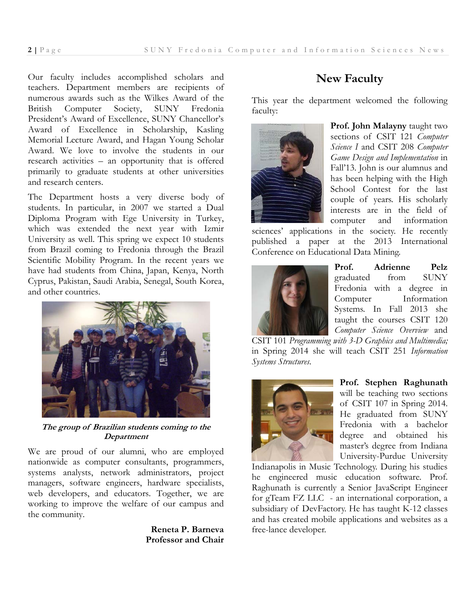Our faculty includes accomplished scholars and teachers. Department members are recipients of numerous awards such as the Wilkes Award of the British Computer Society, SUNY Fredonia President's Award of Excellence, SUNY Chancellor's Award of Excellence in Scholarship, Kasling Memorial Lecture Award, and Hagan Young Scholar Award. We love to involve the students in our research activities – an opportunity that is offered primarily to graduate students at other universities and research centers.

The Department hosts a very diverse body of students. In particular, in 2007 we started a Dual Diploma Program with Ege University in Turkey, which was extended the next year with Izmir University as well. This spring we expect 10 students from Brazil coming to Fredonia through the Brazil Scientific Mobility Program. In the recent years we have had students from China, Japan, Kenya, North Cyprus, Pakistan, Saudi Arabia, Senegal, South Korea, and other countries.



**The group of Brazilian students coming to the Department** 

We are proud of our alumni, who are employed nationwide as computer consultants, programmers, systems analysts, network administrators, project managers, software engineers, hardware specialists, web developers, and educators. Together, we are working to improve the welfare of our campus and the community.

> **Reneta P. Barneva Professor and Chair**

# **New Faculty**

This year the department welcomed the following faculty:



**Prof. John Malayny** taught two sections of CSIT 121 *Computer Science I* and CSIT 208 *Computer Game Design and Implementation* in Fall'13. John is our alumnus and has been helping with the High School Contest for the last couple of years. His scholarly interests are in the field of computer and information

sciences' applications in the society. He recently published a paper at the 2013 International Conference on Educational Data Mining.



**Prof. Adrienne Pelz** graduated from SUNY Fredonia with a degree in Computer Information Systems. In Fall 2013 she taught the courses CSIT 120 *Computer Science Overview* and

CSIT 101 *Programming with 3-D Graphics and Multimedia;* in Spring 2014 she will teach CSIT 251 *Information Systems Structures*.



**Prof. Stephen Raghunath**  will be teaching two sections of CSIT 107 in Spring 2014. He graduated from SUNY Fredonia with a bachelor degree and obtained his master's degree from Indiana University-Purdue University

Indianapolis in Music Technology. During his studies he engineered music education software. Prof. Raghunath is currently a Senior JavaScript Engineer for gTeam FZ LLC - an international corporation, a subsidiary of DevFactory. He has taught K-12 classes and has created mobile applications and websites as a free-lance developer.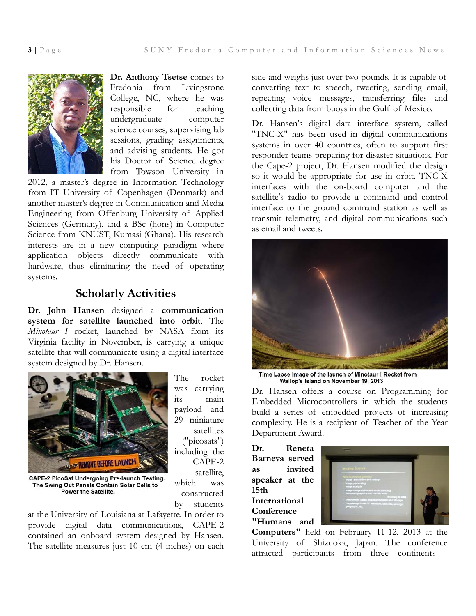

**Dr. Anthony Tsetse** comes to Fredonia from Livingstone College, NC, where he was responsible for teaching undergraduate computer science courses, supervising lab sessions, grading assignments, and advising students. He got his Doctor of Science degree from Towson University in

2012, a master's degree in Information Technology from IT University of Copenhagen (Denmark) and another master's degree in Communication and Media Engineering from Offenburg University of Applied Sciences (Germany), and a BSc (hons) in Computer Science from KNUST, Kumasi (Ghana). His research interests are in a new computing paradigm where application objects directly communicate with hardware, thus eliminating the need of operating systems.

## **Scholarly Activities**

**Dr. John Hansen** designed a **communication system for satellite launched into orbit**. The *Minotaur I* rocket, launched by NASA from its Virginia facility in November, is carrying a unique satellite that will communicate using a digital interface system designed by Dr. Hansen.



The rocket was carrying its main payload and 29 miniature satellites ("picosats") including the CAPE-2 satellite, which was constructed by students

CAPE-2 PicoSat Undergoing Pre-launch Testing. The Swing Out Panels Contain Solar Cells to Power the Satellite.

at the University of Louisiana at Lafayette. In order to provide digital data communications, CAPE-2 contained an onboard system designed by Hansen. The satellite measures just 10 cm (4 inches) on each side and weighs just over two pounds. It is capable of converting text to speech, tweeting, sending email, repeating voice messages, transferring files and collecting data from buoys in the Gulf of Mexico.

Dr. Hansen's digital data interface system, called "TNC-X" has been used in digital communications systems in over 40 countries, often to support first responder teams preparing for disaster situations. For the Cape-2 project, Dr. Hansen modified the design so it would be appropriate for use in orbit. TNC-X interfaces with the on-board computer and the satellite's radio to provide a command and control interface to the ground command station as well as transmit telemetry, and digital communications such as email and tweets.



Time Lapse Image of the launch of Minotaur I Rocket from Wallop's Island on November 19, 2013

Dr. Hansen offers a course on Programming for Embedded Microcontrollers in which the students build a series of embedded projects of increasing complexity. He is a recipient of Teacher of the Year Department Award.

**Dr. Reneta Barneva served as invited speaker at the 15th International Conference "Humans and** 



**Computers"** held on February 11-12, 2013 at the University of Shizuoka, Japan. The conference attracted participants from three continents -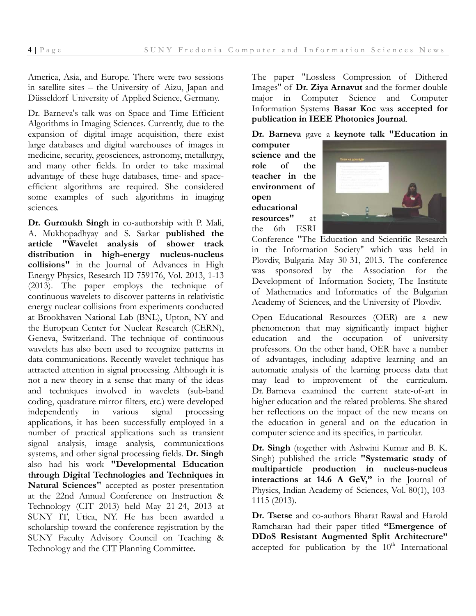America, Asia, and Europe. There were two sessions in satellite sites – the University of Aizu, Japan and Düsseldorf University of Applied Science, Germany.

Dr. Barneva's talk was on Space and Time Efficient Algorithms in Imaging Sciences. Currently, due to the expansion of digital image acquisition, there exist large databases and digital warehouses of images in medicine, security, geosciences, astronomy, metallurgy, and many other fields. In order to take maximal advantage of these huge databases, time- and spaceefficient algorithms are required. She considered some examples of such algorithms in imaging sciences.

**Dr. Gurmukh Singh** in co-authorship with P. Mali, A. Mukhopadhyay and S. Sarkar **published the article "Wavelet analysis of shower track distribution in high-energy nucleus-nucleus collisions"** in the Journal of Advances in High Energy Physics, Research ID 759176, Vol. 2013, 1-13 (2013). The paper employs the technique of continuous wavelets to discover patterns in relativistic energy nuclear collisions from experiments conducted at Brookhaven National Lab (BNL), Upton, NY and the European Center for Nuclear Research (CERN), Geneva, Switzerland. The technique of continuous wavelets has also been used to recognize patterns in data communications. Recently wavelet technique has attracted attention in signal processing. Although it is not a new theory in a sense that many of the ideas and techniques involved in wavelets (sub-band coding, quadrature mirror filters, etc.) were developed independently in various signal processing applications, it has been successfully employed in a number of practical applications such as transient signal analysis, image analysis, communications systems, and other signal processing fields. **Dr. Singh**  also had his work **"Developmental Education through Digital Technologies and Techniques in Natural Sciences"** accepted as poster presentation at the 22nd Annual Conference on Instruction & Technology (CIT 2013) held May 21-24, 2013 at SUNY IT, Utica, NY. He has been awarded a scholarship toward the conference registration by the SUNY Faculty Advisory Council on Teaching & Technology and the CIT Planning Committee.

The paper "Lossless Compression of Dithered Images" of **Dr. Ziya Arnavut** and the former double major in Computer Science and Computer Information Systems **Basar Koc** was **accepted for publication in IEEE Photonics Journal**.

**Dr. Barneva** gave a **keynote talk "Education in** 

**computer science and the role of the teacher in the environment of open educational resources"** at the 6th ESRI



Conference "The Education and Scientific Research in the Information Society" which was held in Plovdiv, Bulgaria May 30-31, 2013. The conference was sponsored by the Association for the Development of Information Society, The Institute of Mathematics and Informatics of the Bulgarian Academy of Sciences, and the University of Plovdiv.

Open Educational Resources (OER) are a new phenomenon that may significantly impact higher education and the occupation of university professors. On the other hand, OER have a number of advantages, including adaptive learning and an automatic analysis of the learning process data that may lead to improvement of the curriculum. Dr. Barneva examined the current state-of-art in higher education and the related problems. She shared her reflections on the impact of the new means on the education in general and on the education in computer science and its specifics, in particular.

**Dr. Singh** (together with Ashwini Kumar and B. K. Singh) published the article **"Systematic study of multiparticle production in nucleus-nucleus interactions at 14.6 A GeV,"** in the Journal of Physics, Indian Academy of Sciences, Vol. 80(1), 103- 1115 (2013).

**Dr. Tsetse** and co-authors Bharat Rawal and Harold Ramcharan had their paper titled **"Emergence of DDoS Resistant Augmented Split Architecture"**  accepted for publication by the  $10<sup>th</sup>$  International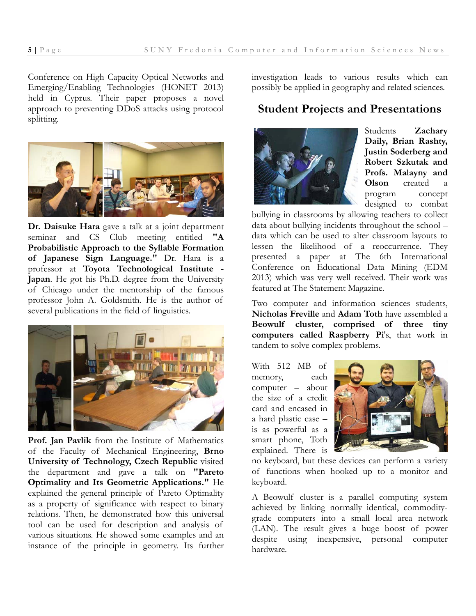Conference on High Capacity Optical Networks and Emerging/Enabling Technologies (HONET 2013) held in Cyprus. Their paper proposes a novel approach to preventing DDoS attacks using protocol splitting.



**Dr. Daisuke Hara** gave a talk at a joint department seminar and CS Club meeting entitled **"A Probabilistic Approach to the Syllable Formation of Japanese Sign Language."** Dr. Hara is a professor at **Toyota Technological Institute - Japan**. He got his Ph.D. degree from the University of Chicago under the mentorship of the famous professor John A. Goldsmith. He is the author of several publications in the field of linguistics.



**Prof. Jan Pavlik** from the Institute of Mathematics of the Faculty of Mechanical Engineering, **Brno University of Technology, Czech Republic** visited the department and gave a talk on **"Pareto Optimality and Its Geometric Applications."** He explained the general principle of Pareto Optimality as a property of significance with respect to binary relations. Then, he demonstrated how this universal tool can be used for description and analysis of various situations. He showed some examples and an instance of the principle in geometry. Its further

investigation leads to various results which can possibly be applied in geography and related sciences.

#### **Student Projects and Presentations**



Students **Zachary Daily, Brian Rashty, Justin Soderberg and Robert Szkutak and Profs. Malayny and Olson** created a program concept designed to combat

bullying in classrooms by allowing teachers to collect data about bullying incidents throughout the school – data which can be used to alter classroom layouts to lessen the likelihood of a reoccurrence. They presented a paper at The 6th International Conference on Educational Data Mining (EDM 2013) which was very well received. Their work was featured at The Statement Magazine.

Two computer and information sciences students, **Nicholas Freville** and **Adam Toth** have assembled a **Beowulf cluster, comprised of three tiny computers called Raspberry Pi**'s, that work in tandem to solve complex problems.

With 512 MB of memory, each computer – about the size of a credit card and encased in a hard plastic case – is as powerful as a smart phone, Toth explained. There is



no keyboard, but these devices can perform a variety of functions when hooked up to a monitor and keyboard.

A Beowulf cluster is a parallel computing system achieved by linking normally identical, commoditygrade computers into a small local area network (LAN). The result gives a huge boost of power despite using inexpensive, personal computer hardware.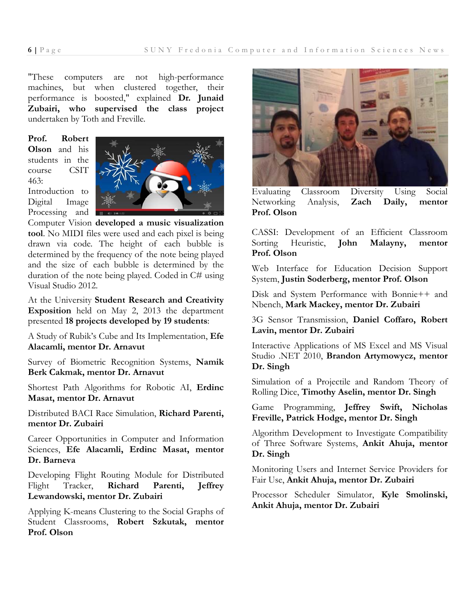"These computers are not high-performance machines, but when clustered together, their performance is boosted," explained **Dr. Junaid Zubairi, who supervised the class project** undertaken by Toth and Freville.

**Prof. Robert Olson** and his students in the course CSIT 463: Introduction to Digital Image Processing and



Computer Vision **developed a music visualization tool**. No MIDI files were used and each pixel is being drawn via code. The height of each bubble is determined by the frequency of the note being played and the size of each bubble is determined by the duration of the note being played. Coded in C# using Visual Studio 2012.

At the University **Student Research and Creativity Exposition** held on May 2, 2013 the department presented **18 projects developed by 19 students**:

A Study of Rubik's Cube and Its Implementation, **Efe Alacamli, mentor Dr. Arnavut** 

Survey of Biometric Recognition Systems, **Namik Berk Cakmak, mentor Dr. Arnavut** 

Shortest Path Algorithms for Robotic AI, **Erdinc Masat, mentor Dr. Arnavut** 

Distributed BACI Race Simulation, **Richard Parenti, mentor Dr. Zubairi** 

Career Opportunities in Computer and Information Sciences, **Efe Alacamli, Erdinc Masat, mentor Dr. Barneva** 

Developing Flight Routing Module for Distributed Flight Tracker, **Richard Parenti, Jeffrey Lewandowski, mentor Dr. Zubairi** 

Applying K-means Clustering to the Social Graphs of Student Classrooms, **Robert Szkutak, mentor Prof. Olson** 



Evaluating Classroom Diversity Using Social Networking Analysis, **Zach Daily, mentor Prof. Olson** 

CASSI: Development of an Efficient Classroom Sorting Heuristic, **John Malayny, mentor Prof. Olson** 

Web Interface for Education Decision Support System, **Justin Soderberg, mentor Prof. Olson** 

Disk and System Performance with Bonnie++ and Nbench, **Mark Mackey, mentor Dr. Zubairi** 

3G Sensor Transmission, **Daniel Coffaro, Robert Lavin, mentor Dr. Zubairi** 

Interactive Applications of MS Excel and MS Visual Studio .NET 2010, **Brandon Artymowycz, mentor Dr. Singh** 

Simulation of a Projectile and Random Theory of Rolling Dice, **Timothy Aselin, mentor Dr. Singh** 

Game Programming, **Jeffrey Swift, Nicholas Freville, Patrick Hodge, mentor Dr. Singh** 

Algorithm Development to Investigate Compatibility of Three Software Systems, **Ankit Ahuja, mentor Dr. Singh** 

Monitoring Users and Internet Service Providers for Fair Use, **Ankit Ahuja, mentor Dr. Zubairi** 

Processor Scheduler Simulator, **Kyle Smolinski, Ankit Ahuja, mentor Dr. Zubairi**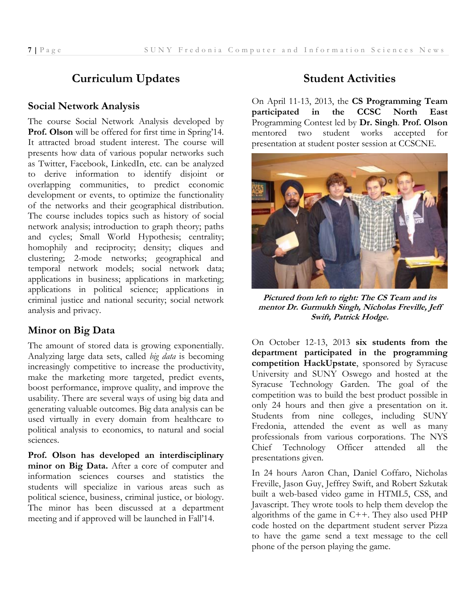# **Curriculum Updates**

#### **Social Network Analysis**

The course Social Network Analysis developed by **Prof. Olson** will be offered for first time in Spring'14. It attracted broad student interest. The course will presents how data of various popular networks such as Twitter, Facebook, LinkedIn, etc. can be analyzed to derive information to identify disjoint or overlapping communities, to predict economic development or events, to optimize the functionality of the networks and their geographical distribution. The course includes topics such as history of social network analysis; introduction to graph theory; paths and cycles; Small World Hypothesis; centrality; homophily and reciprocity; density; cliques and clustering; 2-mode networks; geographical and temporal network models; social network data; applications in business; applications in marketing; applications in political science; applications in criminal justice and national security; social network analysis and privacy.

#### **Minor on Big Data**

The amount of stored data is growing exponentially. Analyzing large data sets, called *big data* is becoming increasingly competitive to increase the productivity, make the marketing more targeted, predict events, boost performance, improve quality, and improve the usability. There are several ways of using big data and generating valuable outcomes. Big data analysis can be used virtually in every domain from healthcare to political analysis to economics, to natural and social sciences.

**Prof. Olson has developed an interdisciplinary minor on Big Data.** After a core of computer and information sciences courses and statistics the students will specialize in various areas such as political science, business, criminal justice, or biology. The minor has been discussed at a department meeting and if approved will be launched in Fall'14.

## **Student Activities**

On April 11-13, 2013, the **CS Programming Team participated in the CCSC North East**  Programming Contest led by **Dr. Singh**. **Prof. Olson** mentored two student works accepted for presentation at student poster session at CCSCNE.



**Pictured from left to right: The CS Team and its mentor Dr. Gurmukh Singh, Nicholas Freville, Jeff Swift, Patrick Hodge.** 

On October 12-13, 2013 **six students from the department participated in the programming competition HackUpstate**, sponsored by Syracuse University and SUNY Oswego and hosted at the Syracuse Technology Garden. The goal of the competition was to build the best product possible in only 24 hours and then give a presentation on it. Students from nine colleges, including SUNY Fredonia, attended the event as well as many professionals from various corporations. The NYS Chief Technology Officer attended all the presentations given.

In 24 hours Aaron Chan, Daniel Coffaro, Nicholas Freville, Jason Guy, Jeffrey Swift, and Robert Szkutak built a web-based video game in HTML5, CSS, and Javascript. They wrote tools to help them develop the algorithms of the game in C++. They also used PHP code hosted on the department student server Pizza to have the game send a text message to the cell phone of the person playing the game.